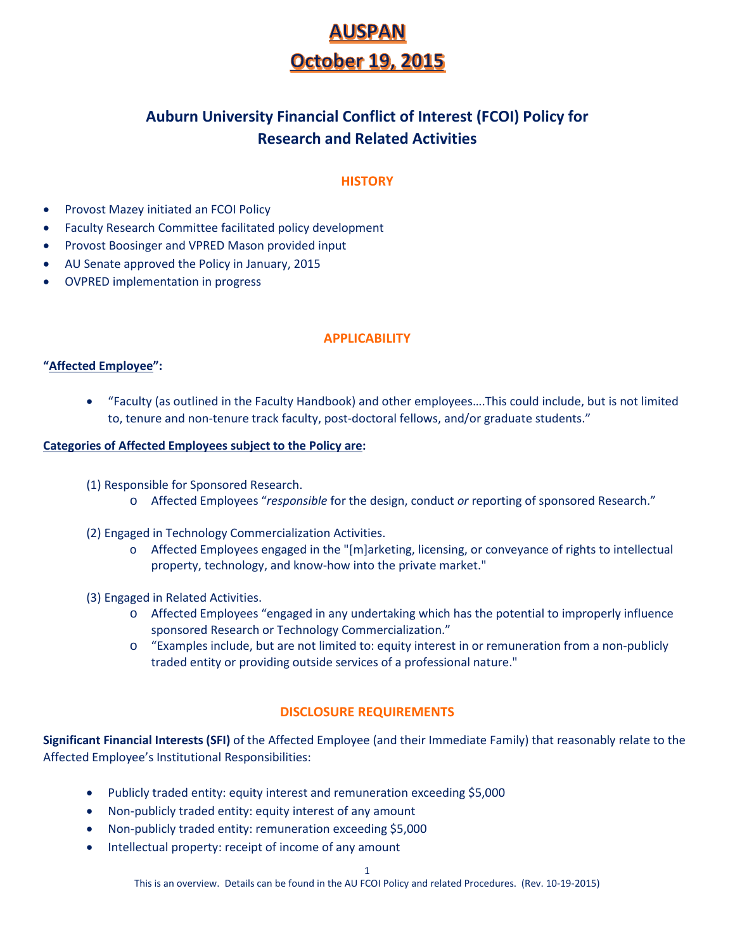# **JSPAI October 19, 2015**

# **Auburn University Financial Conflict of Interest (FCOI) Policy for Research and Related Activities**

# **HISTORY**

- Provost Mazey initiated an FCOI Policy
- Faculty Research Committee facilitated policy development
- Provost Boosinger and VPRED Mason provided input
- AU Senate approved the Policy in January, 2015
- OVPRED implementation in progress

## **APPLICABILITY**

## **"Affected Employee":**

• "Faculty (as outlined in the Faculty Handbook) and other employees….This could include, but is not limited to, tenure and non-tenure track faculty, post-doctoral fellows, and/or graduate students."

#### **Categories of Affected Employees subject to the Policy are:**

- (1) Responsible for Sponsored Research.
	- o Affected Employees "*responsible* for the design, conduct *or* reporting of sponsored Research."
- (2) Engaged in Technology Commercialization Activities.
	- o Affected Employees engaged in the "[m]arketing, licensing, or conveyance of rights to intellectual property, technology, and know-how into the private market."
- (3) Engaged in Related Activities.
	- o Affected Employees "engaged in any undertaking which has the potential to improperly influence sponsored Research or Technology Commercialization."
	- o "Examples include, but are not limited to: equity interest in or remuneration from a non-publicly traded entity or providing outside services of a professional nature."

# **DISCLOSURE REQUIREMENTS**

**Significant Financial Interests (SFI)** of the Affected Employee (and their Immediate Family) that reasonably relate to the Affected Employee's Institutional Responsibilities:

- Publicly traded entity: equity interest and remuneration exceeding \$5,000
- Non-publicly traded entity: equity interest of any amount
- Non-publicly traded entity: remuneration exceeding \$5,000
- Intellectual property: receipt of income of any amount